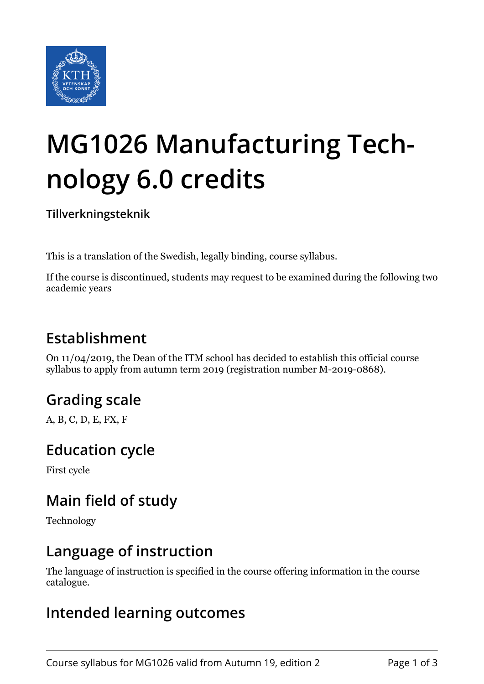

# **MG1026 Manufacturing Technology 6.0 credits**

**Tillverkningsteknik**

This is a translation of the Swedish, legally binding, course syllabus.

If the course is discontinued, students may request to be examined during the following two academic years

# **Establishment**

On 11/04/2019, the Dean of the ITM school has decided to establish this official course syllabus to apply from autumn term 2019 (registration number M-2019-0868).

# **Grading scale**

A, B, C, D, E, FX, F

#### **Education cycle**

First cycle

# **Main field of study**

Technology

#### **Language of instruction**

The language of instruction is specified in the course offering information in the course catalogue.

#### **Intended learning outcomes**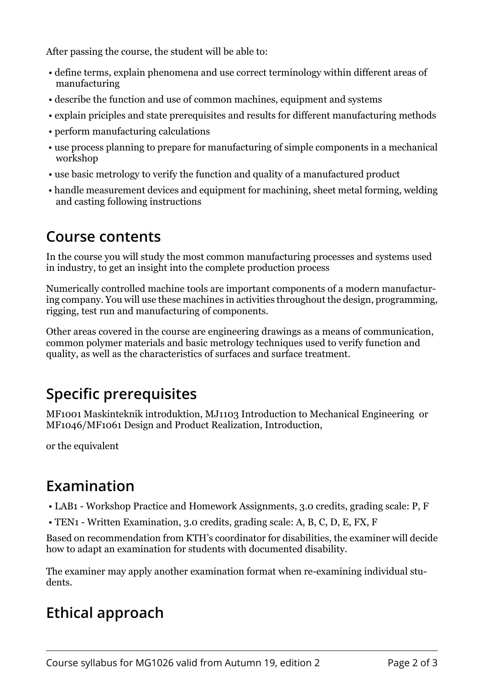After passing the course, the student will be able to:

- define terms, explain phenomena and use correct terminology within different areas of manufacturing
- describe the function and use of common machines, equipment and systems
- explain priciples and state prerequisites and results for different manufacturing methods
- perform manufacturing calculations
- use process planning to prepare for manufacturing of simple components in a mechanical workshop
- use basic metrology to verify the function and quality of a manufactured product
- handle measurement devices and equipment for machining, sheet metal forming, welding and casting following instructions

#### **Course contents**

In the course you will study the most common manufacturing processes and systems used in industry, to get an insight into the complete production process

Numerically controlled machine tools are important components of a modern manufacturing company. You will use these machines in activities throughout the design, programming, rigging, test run and manufacturing of components.

Other areas covered in the course are engineering drawings as a means of communication, common polymer materials and basic metrology techniques used to verify function and quality, as well as the characteristics of surfaces and surface treatment.

# **Specific prerequisites**

MF1001 Maskinteknik introduktion, MJ1103 Introduction to Mechanical Engineering or MF1046/MF1061 Design and Product Realization, Introduction,

or the equivalent

# **Examination**

- LAB1 Workshop Practice and Homework Assignments, 3.0 credits, grading scale: P, F
- TEN1 Written Examination, 3.0 credits, grading scale: A, B, C, D, E, FX, F

Based on recommendation from KTH's coordinator for disabilities, the examiner will decide how to adapt an examination for students with documented disability.

The examiner may apply another examination format when re-examining individual students.

# **Ethical approach**